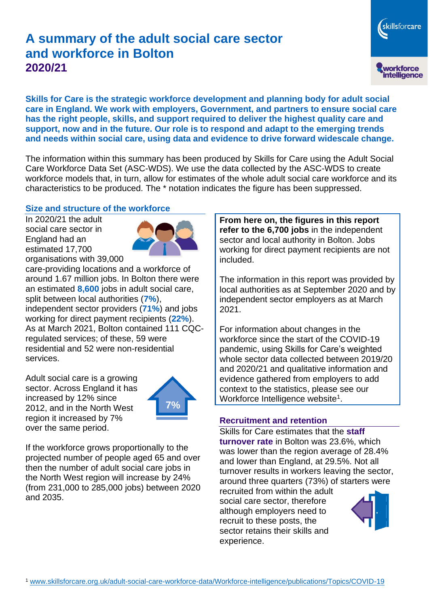# **A summary of the adult social care sector and workforce in Bolton 2020/21**

skillsforcare workforce<br>intelligence

**Skills for Care is the strategic workforce development and planning body for adult social care in England. We work with employers, Government, and partners to ensure social care has the right people, skills, and support required to deliver the highest quality care and support, now and in the future. Our role is to respond and adapt to the emerging trends and needs within social care, using data and evidence to drive forward widescale change.**

The information within this summary has been produced by Skills for Care using the Adult Social Care Workforce Data Set (ASC-WDS). We use the data collected by the ASC-WDS to create workforce models that, in turn, allow for estimates of the whole adult social care workforce and its characteristics to be produced. The \* notation indicates the figure has been suppressed.

#### **Size and structure of the workforce**

In 2020/21 the adult social care sector in England had an estimated 17,700 organisations with 39,000



care-providing locations and a workforce of around 1.67 million jobs. In Bolton there were an estimated **8,600** jobs in adult social care, split between local authorities (**7%**), independent sector providers (**71%**) and jobs working for direct payment recipients (**22%**). As at March 2021, Bolton contained 111 CQCregulated services; of these, 59 were residential and 52 were non-residential services.

Adult social care is a growing sector. Across England it has increased by 12% since 2012, and in the North West region it increased by 7% over the same period.



If the workforce grows proportionally to the projected number of people aged 65 and over then the number of adult social care jobs in the North West region will increase by 24% (from 231,000 to 285,000 jobs) between 2020 and 2035.

**From here on, the figures in this report refer to the 6,700 jobs** in the independent sector and local authority in Bolton. Jobs working for direct payment recipients are not included.

The information in this report was provided by local authorities as at September 2020 and by independent sector employers as at March 2021.

For information about changes in the workforce since the start of the COVID-19 pandemic, using Skills for Care's weighted whole sector data collected between 2019/20 and 2020/21 and qualitative information and evidence gathered from employers to add context to the statistics, please see our Workforce Intelligence website<sup>1</sup>.

#### **Recruitment and retention**

Skills for Care estimates that the **staff turnover rate** in Bolton was 23.6%, which was lower than the region average of 28.4% and lower than England, at 29.5%. Not all turnover results in workers leaving the sector, around three quarters (73%) of starters were

recruited from within the adult social care sector, therefore although employers need to recruit to these posts, the sector retains their skills and experience.

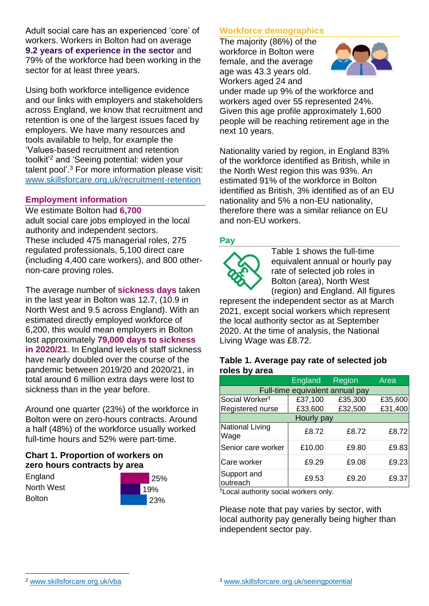Adult social care has an experienced 'core' of workers. Workers in Bolton had on average **9.2 years of experience in the sector** and 79% of the workforce had been working in the sector for at least three years.

Using both workforce intelligence evidence and our links with employers and stakeholders across England, we know that recruitment and retention is one of the largest issues faced by employers. We have many resources and tools available to help, for example the 'Values-based recruitment and retention toolkit'<sup>2</sup> and 'Seeing potential: widen your talent pool'. <sup>3</sup> For more information please visit: [www.skillsforcare.org.uk/recruitment-retention](http://www.skillsforcare.org.uk/recruitment-retention)

## **Employment information**

We estimate Bolton had **6,700** adult social care jobs employed in the local authority and independent sectors. These included 475 managerial roles, 275 regulated professionals, 5,100 direct care (including 4,400 care workers), and 800 othernon-care proving roles.

The average number of **sickness days** taken in the last year in Bolton was 12.7, (10.9 in North West and 9.5 across England). With an estimated directly employed workforce of 6,200, this would mean employers in Bolton lost approximately **79,000 days to sickness in 2020/21**. In England levels of staff sickness have nearly doubled over the course of the pandemic between 2019/20 and 2020/21, in total around 6 million extra days were lost to sickness than in the year before.

Around one quarter (23%) of the workforce in Bolton were on zero-hours contracts. Around a half (48%) of the workforce usually worked full-time hours and 52% were part-time.

# **Chart 1. Proportion of workers on zero hours contracts by area**

**England** North West **Bolton** 



# **Workforce demographics**

The majority (86%) of the workforce in Bolton were female, and the average age was 43.3 years old. Workers aged 24 and



under made up 9% of the workforce and workers aged over 55 represented 24%. Given this age profile approximately 1,600 people will be reaching retirement age in the next 10 years.

Nationality varied by region, in England 83% of the workforce identified as British, while in the North West region this was 93%. An estimated 91% of the workforce in Bolton identified as British, 3% identified as of an EU nationality and 5% a non-EU nationality, therefore there was a similar reliance on EU and non-EU workers.

# **Pay**



Table 1 shows the full-time equivalent annual or hourly pay rate of selected job roles in Bolton (area), North West (region) and England. All figures

represent the independent sector as at March 2021, except social workers which represent the local authority sector as at September 2020. At the time of analysis, the National Living Wage was £8.72.

#### **Table 1. Average pay rate of selected job roles by area**

|                                 | <b>England</b> | Region  | Area    |
|---------------------------------|----------------|---------|---------|
| Full-time equivalent annual pay |                |         |         |
| Social Worker <sup>t</sup>      | £37,100        | £35,300 | £35,600 |
| Registered nurse                | £33,600        | £32,500 | £31,400 |
| Hourly pay                      |                |         |         |
| National Living<br>Wage         | £8.72          | £8.72   | £8.72   |
| Senior care worker              | £10.00         | £9.80   | £9.83   |
| Care worker                     | £9.29          | £9.08   | £9.23   |
| Support and<br>outreach         | £9.53          | £9.20   | £9.37   |

†Local authority social workers only.

Please note that pay varies by sector, with local authority pay generally being higher than independent sector pay.

[www.skillsforcare.org.uk/vba](http://www.skillsforcare.org.uk/vba)